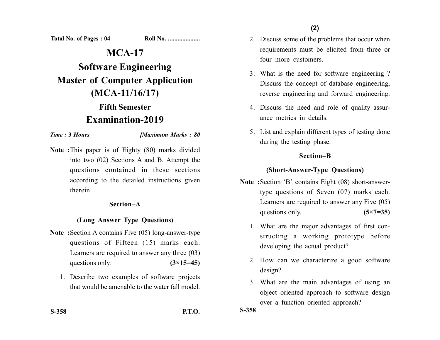**(2)**

**Total No. of Pages : 04 Roll No. ...................** 

# **MCA-17**

**Software Engineering Master of Computer Application (MCA-11/16/17)**

## **Fifth Semester Examination-2019**

*Time :* **3** *Hours [Maximum Marks : 80*

**Note :**This paper is of Eighty (80) marks divided into two (02) Sections A and B. Attempt the questions contained in these sections according to the detailed instructions given therein.

#### **Section–A**

#### **(Long Answer Type Questions)**

- **Note :**Section A contains Five (05) long-answer-type questions of Fifteen (15) marks each. Learners are required to answer any three (03) questions only.  $(3\times15=45)$ 
	- 1. Describe two examples of software projects that would be amenable to the water fall model.

- 2. Discuss some of the problems that occur when requirements must be elicited from three or four more customers.
- 3. What is the need for software engineering ? Discuss the concept of database engineering, reverse engineering and forward engineering.
- 4. Discuss the need and role of quality assurance metrics in details.
- 5. List and explain different types of testing done during the testing phase.

#### **Section–B**

## **(Short-Answer-Type Questions)**

- **Note :**Section 'B' contains Eight (08) short-answertype questions of Seven (07) marks each. Learners are required to answer any Five (05) questions only. **(5×7=35)** 
	- 1. What are the major advantages of first constructing a working prototype before developing the actual product?
	- 2. How can we characterize a good software design?
	- 3. What are the main advantages of using an object oriented approach to software design over a function oriented approach?

**S-358**